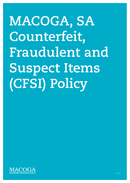# **MACOGA, SA Counterfeit, Fraudulent and Suspect Items (CFSI) Policy**

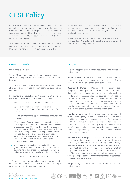# **CFSI Policy**

At MACOGA, safety is our overriding priority and we understand the potential risks concerning the supply of Counterfeit, Fraudulent and Suspect Items (CFSI) within the supply chain, and to this end we only use suppliers that can demonstrate the quality and source of the materials (including goods) that we require.

This document will be used as the framework for identifying and preventing any counterfeit, fraudulent, or suspect items from causing harm or loss in our supply chain. This policy

recognises that throughout all levels of the supply chain there are parties who might wish to substitute Counterfeit, Fraudulent and Suspect Items (CFSI) for genuine items or services for commercial gain.

All staff, partners and suppliers should be aware of the risks and hazards of CFSI entering the supply chain and understand their role in mitigating the risks.

# **Commitments**

We will make sure that:

1. Our Quality Management System includes controls to assure that only correct and accepted items are used or installed.

2. Our Construction O&M manuals incorporate warranties on all products as provided by our approved suppliers and contractors.

3. Counterfeit, Fraudulent or Suspect (CFS) items are prevented at all levels of our operations including:

- Selection of external suppliers and contractors.
- Specific information to external suppliers and contractors, including requirements for control of their sub suppliers.
- Control of externally supplied processes, products, and services.
- Maintenance of accurate purchase and sales records including but not limited to purchase orders, purchased products and quantities, purchase contracts, supplier invoices, supplier delivery notes, transporter or shipper details, incoming goods receipt inspections, receipts/ invoices detailing sold products and quantities, sales contracts, sales invoices, sales delivery notes, transporter or shipper details, outgoing goods shipment inspections.
- A purchasing process in place for checking that, goods received match the information in the delivery documents and purchase orders. Proof of matching delivery documents and purchase orders is available.
- Monitoring and measurement activities.

4. When CFS items are detected, they will be managed as non-conformities (NCR's) and relevant parties, including the customer, will be informed without delay.

### **Scope**

This policy applies to all material, documents, and records as defined here:

**Materials:** Material refers to all equipment, parts, components, products, raw material, documents, records, or software associated with the deliverable product or service.

**Counterfeit Material:** Material whose origin, age, composition, configuration, certification status or other characteristic (including whether or not the material has been used previously) has been falsely represented by: a) misleading marking of the material, labelling or packaging; b) misleading documentation; or c) any other means, including failing to disclose information; except where it has been demonstrated that the misrepresentation was not the result of dishonesty by a supplier or sub-supplier within the supply chain.

**Fraudulent Items:** Items that are intentionally misrepresented to be something they are not. Fraudulent items include items provided with incorrect identification or falsified/inaccurate certification. Fraudulent items also include items sold by entities that have acquired the legal right to manufacture a specified quantity of an item (such as an integrated circuit) but produce a larger quantity than authorised and sell the excess as legitimate inventory.

**Suspect Items:** A suspect item is one in which there is an indication by visual inspection, testing, or other information that it may not conform to established Legislation, industryaccepted specifications, or customer requirements. Suspect items must be further investigated to determine whether they are counterfeit. When an item contains indications, but insufficient evidence, of irregularities such as noncompliance with agreed-upon specifications in the manufacturing process, it may be declared suspect.

**Supplier:** Organisation or person that provides material (as defined above).